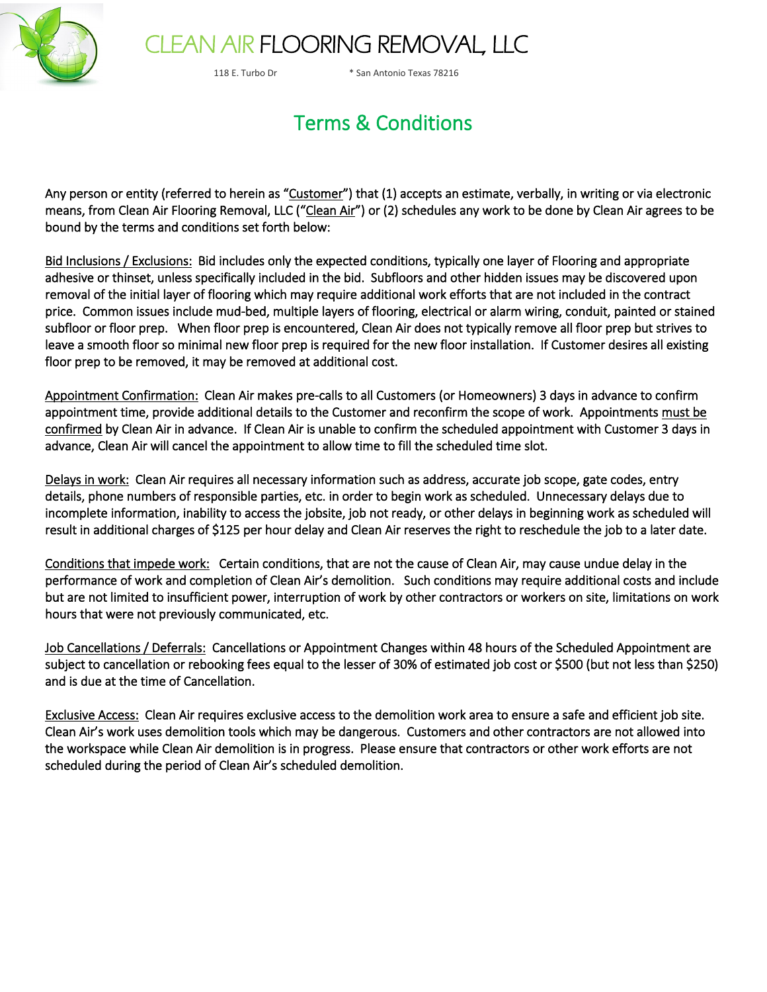

## CLEAN AIR FLOORING REMOVAL, LLC

118 E. Turbo Dr \* San Antonio Texas 78216

### Terms & Conditions

Any person or entity (referred to herein as "Customer") that (1) accepts an estimate, verbally, in writing or via electronic means, from Clean Air Flooring Removal, LLC ("Clean Air") or (2) schedules any work to be done by Clean Air agrees to be bound by the terms and conditions set forth below:

Bid Inclusions / Exclusions: Bid includes only the expected conditions, typically one layer of Flooring and appropriate adhesive or thinset, unless specifically included in the bid. Subfloors and other hidden issues may be discovered upon removal of the initial layer of flooring which may require additional work efforts that are not included in the contract price. Common issues include mud-bed, multiple layers of flooring, electrical or alarm wiring, conduit, painted or stained subfloor or floor prep. When floor prep is encountered, Clean Air does not typically remove all floor prep but strives to leave a smooth floor so minimal new floor prep is required for the new floor installation. If Customer desires all existing floor prep to be removed, it may be removed at additional cost.

Appointment Confirmation: Clean Air makes pre-calls to all Customers (or Homeowners) 3 days in advance to confirm appointment time, provide additional details to the Customer and reconfirm the scope of work. Appointments must be confirmed by Clean Air in advance. If Clean Air is unable to confirm the scheduled appointment with Customer 3 days in advance, Clean Air will cancel the appointment to allow time to fill the scheduled time slot.

Delays in work: Clean Air requires all necessary information such as address, accurate job scope, gate codes, entry details, phone numbers of responsible parties, etc. in order to begin work as scheduled. Unnecessary delays due to incomplete information, inability to access the jobsite, job not ready, or other delays in beginning work as scheduled will result in additional charges of \$125 per hour delay and Clean Air reserves the right to reschedule the job to a later date.

Conditions that impede work: Certain conditions, that are not the cause of Clean Air, may cause undue delay in the performance of work and completion of Clean Air's demolition. Such conditions may require additional costs and include but are not limited to insufficient power, interruption of work by other contractors or workers on site, limitations on work hours that were not previously communicated, etc.

Job Cancellations / Deferrals: Cancellations or Appointment Changes within 48 hours of the Scheduled Appointment are subject to cancellation or rebooking fees equal to the lesser of 30% of estimated job cost or \$500 (but not less than \$250) and is due at the time of Cancellation.

Exclusive Access: Clean Air requires exclusive access to the demolition work area to ensure a safe and efficient job site. Clean Air's work uses demolition tools which may be dangerous. Customers and other contractors are not allowed into the workspace while Clean Air demolition is in progress. Please ensure that contractors or other work efforts are not scheduled during the period of Clean Air's scheduled demolition.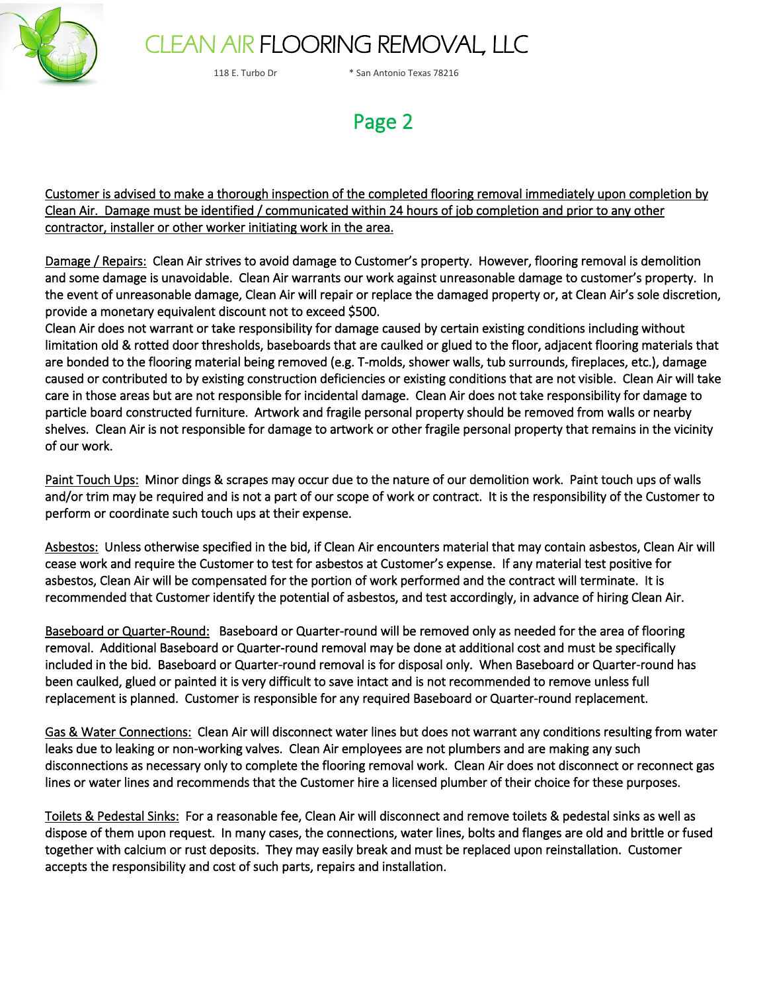

# CLEAN AIR FLOORING REMOVAL, LLC

118 E. Turbo Dr \* San Antonio Texas 78216

### Page 2

Customer is advised to make a thorough inspection of the completed flooring removal immediately upon completion by Clean Air. Damage must be identified / communicated within 24 hours of job completion and prior to any other contractor, installer or other worker initiating work in the area.

Damage / Repairs: Clean Air strives to avoid damage to Customer's property. However, flooring removal is demolition and some damage is unavoidable. Clean Air warrants our work against unreasonable damage to customer's property. In the event of unreasonable damage, Clean Air will repair or replace the damaged property or, at Clean Air's sole discretion, provide a monetary equivalent discount not to exceed \$500.

Clean Air does not warrant or take responsibility for damage caused by certain existing conditions including without limitation old & rotted door thresholds, baseboards that are caulked or glued to the floor, adjacent flooring materials that are bonded to the flooring material being removed (e.g. T-molds, shower walls, tub surrounds, fireplaces, etc.), damage caused or contributed to by existing construction deficiencies or existing conditions that are not visible. Clean Air will take care in those areas but are not responsible for incidental damage. Clean Air does not take responsibility for damage to particle board constructed furniture. Artwork and fragile personal property should be removed from walls or nearby shelves. Clean Air is not responsible for damage to artwork or other fragile personal property that remains in the vicinity of our work.

Paint Touch Ups: Minor dings & scrapes may occur due to the nature of our demolition work. Paint touch ups of walls and/or trim may be required and is not a part of our scope of work or contract. It is the responsibility of the Customer to perform or coordinate such touch ups at their expense.

Asbestos: Unless otherwise specified in the bid, if Clean Air encounters material that may contain asbestos, Clean Air will cease work and require the Customer to test for asbestos at Customer's expense. If any material test positive for asbestos, Clean Air will be compensated for the portion of work performed and the contract will terminate. It is recommended that Customer identify the potential of asbestos, and test accordingly, in advance of hiring Clean Air.

Baseboard or Quarter-Round: Baseboard or Quarter-round will be removed only as needed for the area of flooring removal. Additional Baseboard or Quarter-round removal may be done at additional cost and must be specifically included in the bid. Baseboard or Quarter-round removal is for disposal only. When Baseboard or Quarter-round has been caulked, glued or painted it is very difficult to save intact and is not recommended to remove unless full replacement is planned. Customer is responsible for any required Baseboard or Quarter-round replacement.

Gas & Water Connections: Clean Air will disconnect water lines but does not warrant any conditions resulting from water leaks due to leaking or non-working valves. Clean Air employees are not plumbers and are making any such disconnections as necessary only to complete the flooring removal work. Clean Air does not disconnect or reconnect gas lines or water lines and recommends that the Customer hire a licensed plumber of their choice for these purposes.

Toilets & Pedestal Sinks: For a reasonable fee, Clean Air will disconnect and remove toilets & pedestal sinks as well as dispose of them upon request. In many cases, the connections, water lines, bolts and flanges are old and brittle or fused together with calcium or rust deposits. They may easily break and must be replaced upon reinstallation. Customer accepts the responsibility and cost of such parts, repairs and installation.